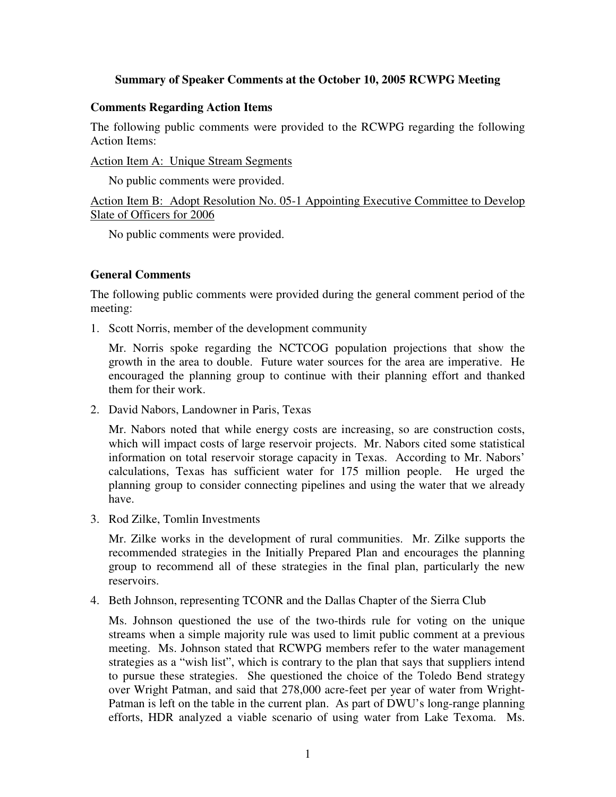## **Summary of Speaker Comments at the October 10, 2005 RCWPG Meeting**

## **Comments Regarding Action Items**

The following public comments were provided to the RCWPG regarding the following Action Items:

Action Item A: Unique Stream Segments

No public comments were provided.

Action Item B: Adopt Resolution No. 05-1 Appointing Executive Committee to Develop Slate of Officers for 2006

No public comments were provided.

## **General Comments**

The following public comments were provided during the general comment period of the meeting:

1. Scott Norris, member of the development community

Mr. Norris spoke regarding the NCTCOG population projections that show the growth in the area to double. Future water sources for the area are imperative. He encouraged the planning group to continue with their planning effort and thanked them for their work.

2. David Nabors, Landowner in Paris, Texas

Mr. Nabors noted that while energy costs are increasing, so are construction costs, which will impact costs of large reservoir projects. Mr. Nabors cited some statistical information on total reservoir storage capacity in Texas. According to Mr. Nabors' calculations, Texas has sufficient water for 175 million people. He urged the planning group to consider connecting pipelines and using the water that we already have.

3. Rod Zilke, Tomlin Investments

Mr. Zilke works in the development of rural communities. Mr. Zilke supports the recommended strategies in the Initially Prepared Plan and encourages the planning group to recommend all of these strategies in the final plan, particularly the new reservoirs.

4. Beth Johnson, representing TCONR and the Dallas Chapter of the Sierra Club

Ms. Johnson questioned the use of the two-thirds rule for voting on the unique streams when a simple majority rule was used to limit public comment at a previous meeting. Ms. Johnson stated that RCWPG members refer to the water management strategies as a "wish list", which is contrary to the plan that says that suppliers intend to pursue these strategies. She questioned the choice of the Toledo Bend strategy over Wright Patman, and said that 278,000 acre-feet per year of water from Wright-Patman is left on the table in the current plan. As part of DWU's long-range planning efforts, HDR analyzed a viable scenario of using water from Lake Texoma. Ms.